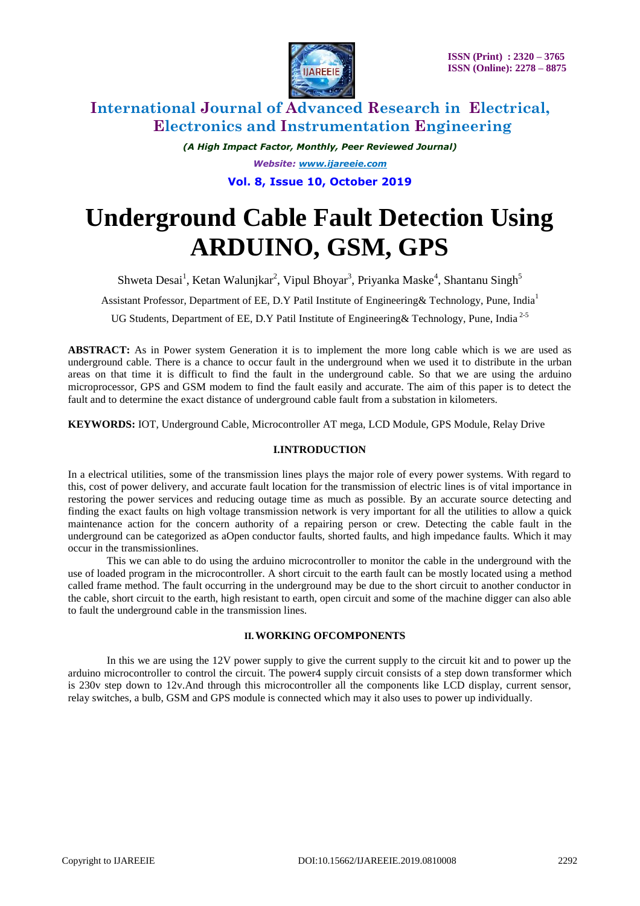

# **International Journal of Advanced Research in Electrical, Electronics and Instrumentation Engineering**

*(A High Impact Factor, Monthly, Peer Reviewed Journal) Website: [www.ijareeie.com](http://www.ijareeie.com/)*

**Vol. 8, Issue 10, October 2019**

# **Underground Cable Fault Detection Using ARDUINO, GSM, GPS**

Shweta Desai<sup>1</sup>, Ketan Walunjkar<sup>2</sup>, Vipul Bhoyar<sup>3</sup>, Priyanka Maske<sup>4</sup>, Shantanu Singh<sup>5</sup>

Assistant Professor, Department of EE, D.Y Patil Institute of Engineering & Technology, Pune, India<sup>1</sup>

UG Students, Department of EE, D.Y Patil Institute of Engineering& Technology, Pune, India 2-5

**ABSTRACT:** As in Power system Generation it is to implement the more long cable which is we are used as underground cable. There is a chance to occur fault in the underground when we used it to distribute in the urban areas on that time it is difficult to find the fault in the underground cable. So that we are using the arduino microprocessor, GPS and GSM modem to find the fault easily and accurate. The aim of this paper is to detect the fault and to determine the exact distance of underground cable fault from a substation in kilometers.

**KEYWORDS:** IOT, Underground Cable, Microcontroller AT mega, LCD Module, GPS Module, Relay Drive

### **I.INTRODUCTION**

In a electrical utilities, some of the transmission lines plays the major role of every power systems. With regard to this, cost of power delivery, and accurate fault location for the transmission of electric lines is of vital importance in restoring the power services and reducing outage time as much as possible. By an accurate source detecting and finding the exact faults on high voltage transmission network is very important for all the utilities to allow a quick maintenance action for the concern authority of a repairing person or crew. Detecting the cable fault in the underground can be categorized as aOpen conductor faults, shorted faults, and high impedance faults. Which it may occur in the transmissionlines.

This we can able to do using the arduino microcontroller to monitor the cable in the underground with the use of loaded program in the microcontroller. A short circuit to the earth fault can be mostly located using a method called frame method. The fault occurring in the underground may be due to the short circuit to another conductor in the cable, short circuit to the earth, high resistant to earth, open circuit and some of the machine digger can also able to fault the underground cable in the transmission lines.

### **II.WORKING OFCOMPONENTS**

In this we are using the 12V power supply to give the current supply to the circuit kit and to power up the arduino microcontroller to control the circuit. The power4 supply circuit consists of a step down transformer which is 230v step down to 12v.And through this microcontroller all the components like LCD display, current sensor, relay switches, a bulb, GSM and GPS module is connected which may it also uses to power up individually.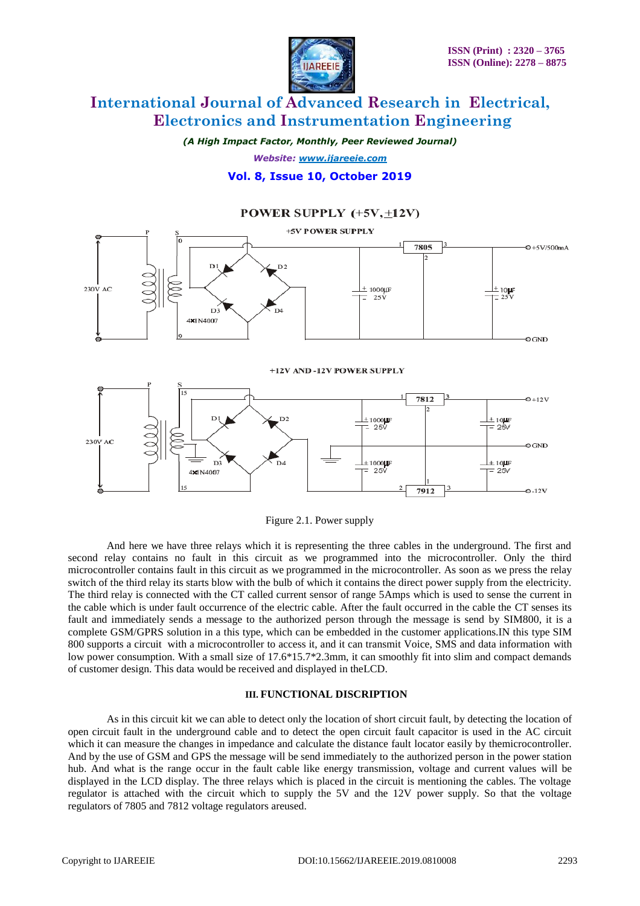

 $\frac{1}{2}$  10  $\mu$ F<br>= 25 V

 $-0.12V$ 

# **International Journal of Advanced Research in Electrical, Electronics and Instrumentation Engineering**

*(A High Impact Factor, Monthly, Peer Reviewed Journal)*

*Website: [www.ijareeie.com](http://www.ijareeie.com/)*

### **Vol. 8, Issue 10, October 2019**

### POWER SUPPLY (+5V, +12V)



Figure 2.1. Power supply

 $D4$ 

 $\pm 1000$ 

25

7912

 $\overline{D}$ 

4×1N4007

And here we have three relays which it is representing the three cables in the underground. The first and second relay contains no fault in this circuit as we programmed into the microcontroller. Only the third microcontroller contains fault in this circuit as we programmed in the microcontroller. As soon as we press the relay switch of the third relay its starts blow with the bulb of which it contains the direct power supply from the electricity. The third relay is connected with the CT called current sensor of range 5Amps which is used to sense the current in the cable which is under fault occurrence of the electric cable. After the fault occurred in the cable the CT senses its fault and immediately sends a message to the authorized person through the message is send by SIM800, it is a complete GSM/GPRS solution in a this type, which can be embedded in the customer applications.IN this type SIM 800 supports a circuit with a microcontroller to access it, and it can transmit Voice, SMS and data information with low power consumption. With a small size of 17.6\*15.7\*2.3mm, it can smoothly fit into slim and compact demands of customer design. This data would be received and displayed in theLCD.

#### **III. FUNCTIONAL DISCRIPTION**

As in this circuit kit we can able to detect only the location of short circuit fault, by detecting the location of open circuit fault in the underground cable and to detect the open circuit fault capacitor is used in the AC circuit which it can measure the changes in impedance and calculate the distance fault locator easily by themicrocontroller. And by the use of GSM and GPS the message will be send immediately to the authorized person in the power station hub. And what is the range occur in the fault cable like energy transmission, voltage and current values will be displayed in the LCD display. The three relays which is placed in the circuit is mentioning the cables. The voltage regulator is attached with the circuit which to supply the 5V and the 12V power supply. So that the voltage regulators of 7805 and 7812 voltage regulators areused.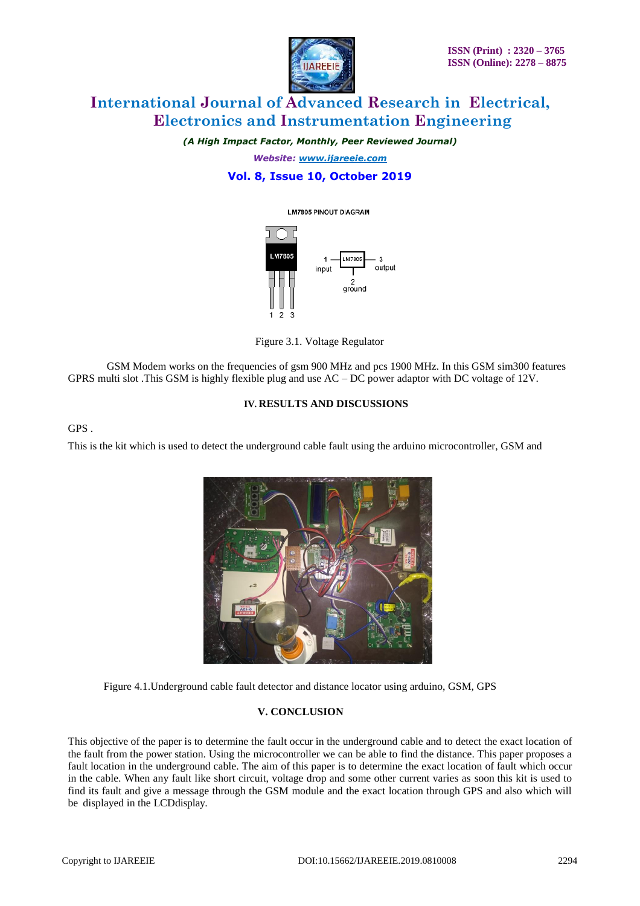

# **International Journal of Advanced Research in Electrical, Electronics and Instrumentation Engineering**

*(A High Impact Factor, Monthly, Peer Reviewed Journal)*

*Website: [www.ijareeie.com](http://www.ijareeie.com/)*

## **Vol. 8, Issue 10, October 2019**

#### **LM7805 PINOUT DIAGRAM**



Figure 3.1. Voltage Regulator

GSM Modem works on the frequencies of gsm 900 MHz and pcs 1900 MHz. In this GSM sim300 features GPRS multi slot .This GSM is highly flexible plug and use AC – DC power adaptor with DC voltage of 12V.

#### **IV. RESULTS AND DISCUSSIONS**

GPS .

This is the kit which is used to detect the underground cable fault using the arduino microcontroller, GSM and



Figure 4.1.Underground cable fault detector and distance locator using arduino, GSM, GPS

### **V. CONCLUSION**

This objective of the paper is to determine the fault occur in the underground cable and to detect the exact location of the fault from the power station. Using the microcontroller we can be able to find the distance. This paper proposes a fault location in the underground cable. The aim of this paper is to determine the exact location of fault which occur in the cable. When any fault like short circuit, voltage drop and some other current varies as soon this kit is used to find its fault and give a message through the GSM module and the exact location through GPS and also which will be displayed in the LCDdisplay.